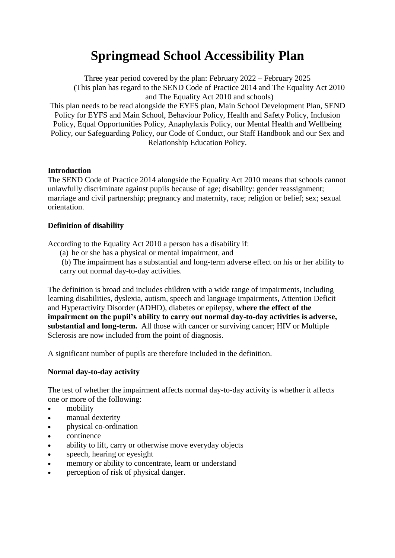# **Springmead School Accessibility Plan**

Three year period covered by the plan: February 2022 – February 2025 (This plan has regard to the SEND Code of Practice 2014 and The Equality Act 2010 and The Equality Act 2010 and schools) This plan needs to be read alongside the EYFS plan, Main School Development Plan, SEND Policy for EYFS and Main School, Behaviour Policy, Health and Safety Policy, Inclusion Policy, Equal Opportunities Policy, Anaphylaxis Policy, our Mental Health and Wellbeing Policy, our Safeguarding Policy, our Code of Conduct, our Staff Handbook and our Sex and Relationship Education Policy.

#### **Introduction**

The SEND Code of Practice 2014 alongside the Equality Act 2010 means that schools cannot unlawfully discriminate against pupils because of age; disability: gender reassignment; marriage and civil partnership; pregnancy and maternity, race; religion or belief; sex; sexual orientation.

#### **Definition of disability**

According to the Equality Act 2010 a person has a disability if:

(a) he or she has a physical or mental impairment, and

(b) The impairment has a substantial and long-term adverse effect on his or her ability to carry out normal day-to-day activities.

The definition is broad and includes children with a wide range of impairments, including learning disabilities, dyslexia, autism, speech and language impairments, Attention Deficit and Hyperactivity Disorder (ADHD), diabetes or epilepsy, **where the effect of the impairment on the pupil's ability to carry out normal day-to-day activities is adverse, substantial and long-term.** All those with cancer or surviving cancer; HIV or Multiple Sclerosis are now included from the point of diagnosis.

A significant number of pupils are therefore included in the definition.

#### **Normal day-to-day activity**

The test of whether the impairment affects normal day-to-day activity is whether it affects one or more of the following:

- mobility
- manual dexterity
- physical co-ordination
- continence
- ability to lift, carry or otherwise move everyday objects
- speech, hearing or eyesight
- memory or ability to concentrate, learn or understand
- perception of risk of physical danger.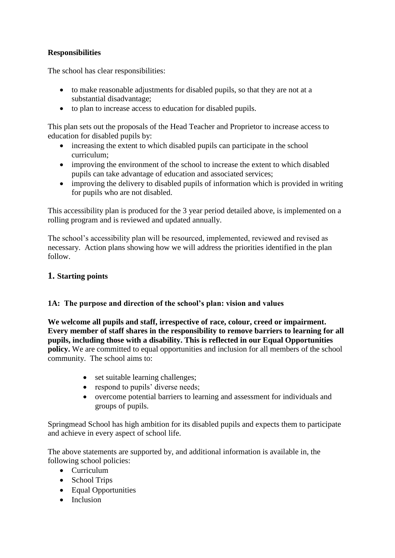# **Responsibilities**

The school has clear responsibilities:

- to make reasonable adjustments for disabled pupils, so that they are not at a substantial disadvantage;
- to plan to increase access to education for disabled pupils.

This plan sets out the proposals of the Head Teacher and Proprietor to increase access to education for disabled pupils by:

- increasing the extent to which disabled pupils can participate in the school curriculum;
- improving the environment of the school to increase the extent to which disabled pupils can take advantage of education and associated services;
- improving the delivery to disabled pupils of information which is provided in writing for pupils who are not disabled.

This accessibility plan is produced for the 3 year period detailed above, is implemented on a rolling program and is reviewed and updated annually.

The school's accessibility plan will be resourced, implemented, reviewed and revised as necessary. Action plans showing how we will address the priorities identified in the plan follow.

# **1. Starting points**

# **1A: The purpose and direction of the school's plan: vision and values**

**We welcome all pupils and staff, irrespective of race, colour, creed or impairment. Every member of staff shares in the responsibility to remove barriers to learning for all pupils, including those with a disability. This is reflected in our Equal Opportunities policy.** We are committed to equal opportunities and inclusion for all members of the school community. The school aims to:

- set suitable learning challenges;
- respond to pupils' diverse needs;
- overcome potential barriers to learning and assessment for individuals and groups of pupils.

Springmead School has high ambition for its disabled pupils and expects them to participate and achieve in every aspect of school life.

The above statements are supported by, and additional information is available in, the following school policies:

- Curriculum
- School Trips
- Equal Opportunities
- Inclusion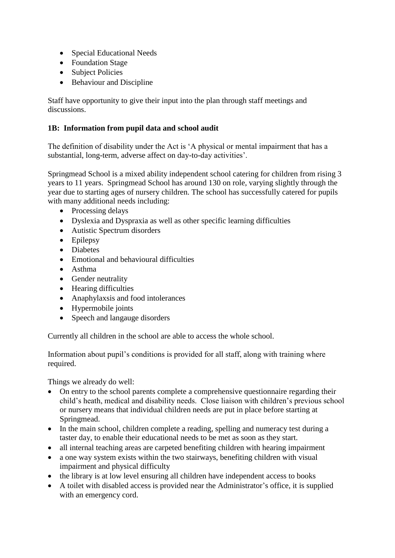- Special Educational Needs
- Foundation Stage
- Subject Policies
- Behaviour and Discipline

Staff have opportunity to give their input into the plan through staff meetings and discussions.

# **1B: Information from pupil data and school audit**

The definition of disability under the Act is 'A physical or mental impairment that has a substantial, long-term, adverse affect on day-to-day activities'.

Springmead School is a mixed ability independent school catering for children from rising 3 years to 11 years. Springmead School has around 130 on role, varying slightly through the year due to starting ages of nursery children. The school has successfully catered for pupils with many additional needs including:

- Processing delays
- Dyslexia and Dyspraxia as well as other specific learning difficulties
- Autistic Spectrum disorders
- Epilepsy
- Diabetes
- Emotional and behavioural difficulties
- Asthma
- Gender neutrality
- Hearing difficulties
- Anaphylaxsis and food intolerances
- Hypermobile joints
- Speech and langauge disorders

Currently all children in the school are able to access the whole school.

Information about pupil's conditions is provided for all staff, along with training where required.

Things we already do well:

- On entry to the school parents complete a comprehensive questionnaire regarding their child's heath, medical and disability needs. Close liaison with children's previous school or nursery means that individual children needs are put in place before starting at Springmead.
- In the main school, children complete a reading, spelling and numeracy test during a taster day, to enable their educational needs to be met as soon as they start.
- all internal teaching areas are carpeted benefiting children with hearing impairment
- a one way system exists within the two stairways, benefiting children with visual impairment and physical difficulty
- the library is at low level ensuring all children have independent access to books
- A toilet with disabled access is provided near the Administrator's office, it is supplied with an emergency cord.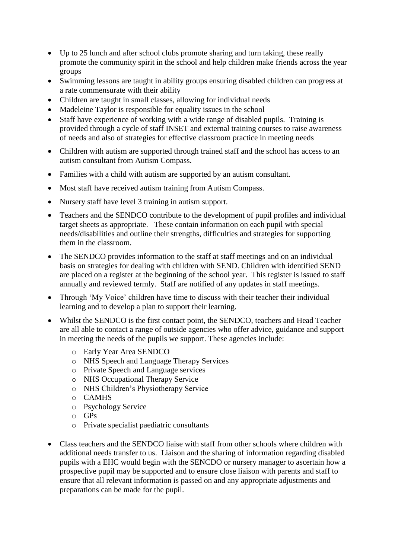- Up to 25 lunch and after school clubs promote sharing and turn taking, these really promote the community spirit in the school and help children make friends across the year groups
- Swimming lessons are taught in ability groups ensuring disabled children can progress at a rate commensurate with their ability
- Children are taught in small classes, allowing for individual needs
- Madeleine Taylor is responsible for equality issues in the school
- Staff have experience of working with a wide range of disabled pupils. Training is provided through a cycle of staff INSET and external training courses to raise awareness of needs and also of strategies for effective classroom practice in meeting needs
- Children with autism are supported through trained staff and the school has access to an autism consultant from Autism Compass.
- Families with a child with autism are supported by an autism consultant.
- Most staff have received autism training from Autism Compass.
- Nursery staff have level 3 training in autism support.
- Teachers and the SENDCO contribute to the development of pupil profiles and individual target sheets as appropriate. These contain information on each pupil with special needs/disabilities and outline their strengths, difficulties and strategies for supporting them in the classroom.
- The SENDCO provides information to the staff at staff meetings and on an individual basis on strategies for dealing with children with SEND. Children with identified SEND are placed on a register at the beginning of the school year. This register is issued to staff annually and reviewed termly. Staff are notified of any updates in staff meetings.
- Through 'My Voice' children have time to discuss with their teacher their individual learning and to develop a plan to support their learning.
- Whilst the SENDCO is the first contact point, the SENDCO, teachers and Head Teacher are all able to contact a range of outside agencies who offer advice, guidance and support in meeting the needs of the pupils we support. These agencies include:
	- o Early Year Area SENDCO
	- o NHS Speech and Language Therapy Services
	- o Private Speech and Language services
	- o NHS Occupational Therapy Service
	- o NHS Children's Physiotherapy Service
	- o CAMHS
	- o Psychology Service
	- o GPs
	- o Private specialist paediatric consultants
- Class teachers and the SENDCO liaise with staff from other schools where children with additional needs transfer to us. Liaison and the sharing of information regarding disabled pupils with a EHC would begin with the SENCDO or nursery manager to ascertain how a prospective pupil may be supported and to ensure close liaison with parents and staff to ensure that all relevant information is passed on and any appropriate adjustments and preparations can be made for the pupil.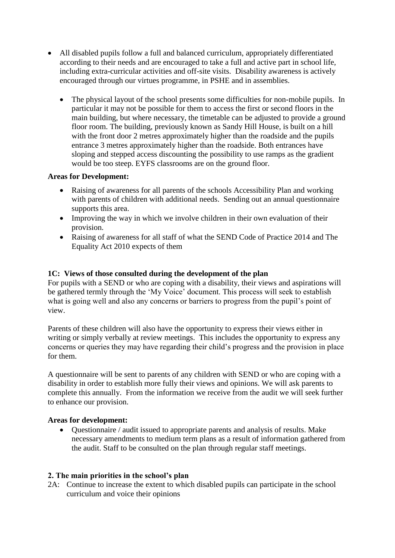- All disabled pupils follow a full and balanced curriculum, appropriately differentiated according to their needs and are encouraged to take a full and active part in school life, including extra-curricular activities and off-site visits. Disability awareness is actively encouraged through our virtues programme, in PSHE and in assemblies.
	- The physical layout of the school presents some difficulties for non-mobile pupils. In particular it may not be possible for them to access the first or second floors in the main building, but where necessary, the timetable can be adjusted to provide a ground floor room. The building, previously known as Sandy Hill House, is built on a hill with the front door 2 metres approximately higher than the roadside and the pupils entrance 3 metres approximately higher than the roadside. Both entrances have sloping and stepped access discounting the possibility to use ramps as the gradient would be too steep. EYFS classrooms are on the ground floor.

#### **Areas for Development:**

- Raising of awareness for all parents of the schools Accessibility Plan and working with parents of children with additional needs. Sending out an annual questionnaire supports this area.
- Improving the way in which we involve children in their own evaluation of their provision.
- Raising of awareness for all staff of what the SEND Code of Practice 2014 and The Equality Act 2010 expects of them

#### **1C: Views of those consulted during the development of the plan**

For pupils with a SEND or who are coping with a disability, their views and aspirations will be gathered termly through the 'My Voice' document. This process will seek to establish what is going well and also any concerns or barriers to progress from the pupil's point of view.

Parents of these children will also have the opportunity to express their views either in writing or simply verbally at review meetings. This includes the opportunity to express any concerns or queries they may have regarding their child's progress and the provision in place for them.

A questionnaire will be sent to parents of any children with SEND or who are coping with a disability in order to establish more fully their views and opinions. We will ask parents to complete this annually. From the information we receive from the audit we will seek further to enhance our provision.

#### **Areas for development:**

• Questionnaire / audit issued to appropriate parents and analysis of results. Make necessary amendments to medium term plans as a result of information gathered from the audit. Staff to be consulted on the plan through regular staff meetings.

#### **2. The main priorities in the school's plan**

2A: Continue to increase the extent to which disabled pupils can participate in the school curriculum and voice their opinions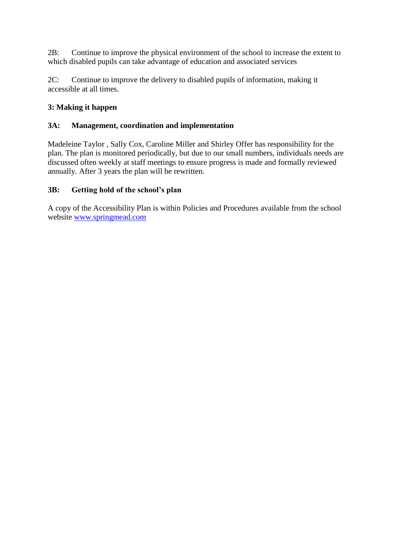2B: Continue to improve the physical environment of the school to increase the extent to which disabled pupils can take advantage of education and associated services

2C: Continue to improve the delivery to disabled pupils of information, making it accessible at all times.

### **3: Making it happen**

#### **3A: Management, coordination and implementation**

Madeleine Taylor , Sally Cox, Caroline Miller and Shirley Offer has responsibility for the plan. The plan is monitored periodically, but due to our small numbers, individuals needs are discussed often weekly at staff meetings to ensure progress is made and formally reviewed annually. After 3 years the plan will be rewritten.

#### **3B: Getting hold of the school's plan**

A copy of the Accessibility Plan is within Policies and Procedures available from the school website [www.springmead.com](http://www.springmead.com/)